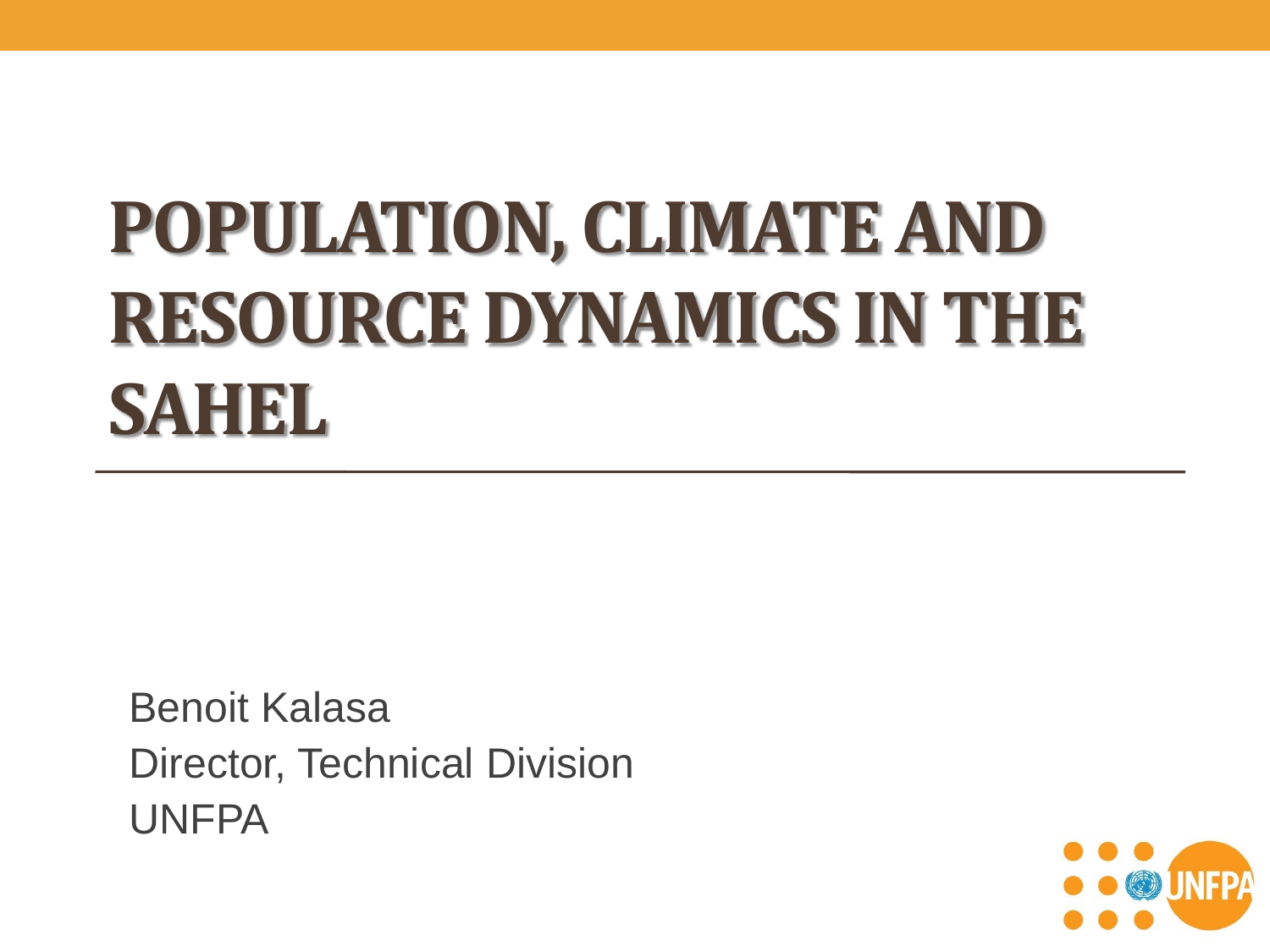# **POPULATION, CLIMATE AND RESOURCE DYNAMICS IN THE SAHEL**

Benoit Kalasa Director, Technical Division UNFPA

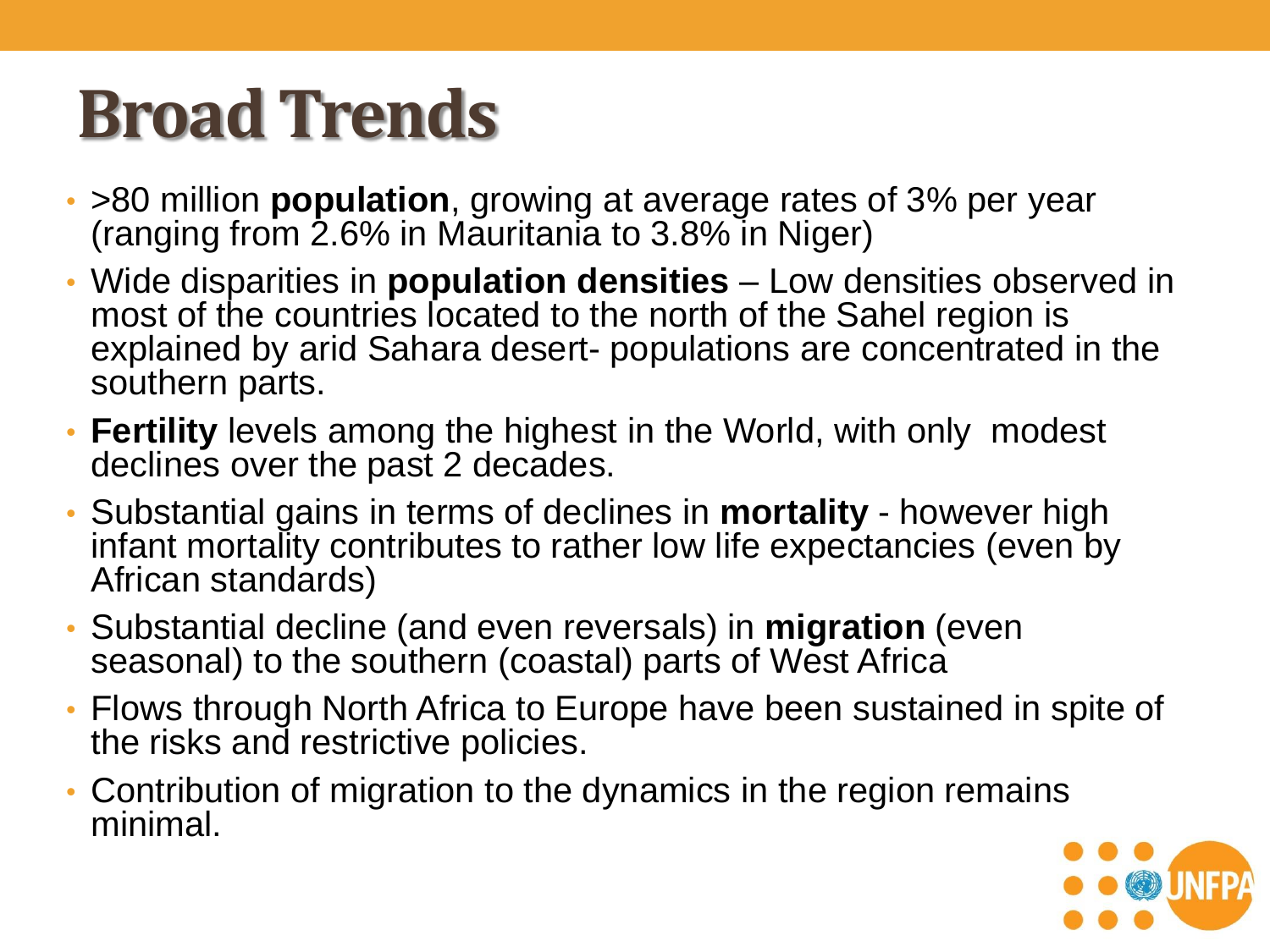### **Broad Trends**

- >80 million **population**, growing at average rates of 3% per year (ranging from 2.6% in Mauritania to 3.8% in Niger)
- Wide disparities in **population densities**  Low densities observed in most of the countries located to the north of the Sahel region is explained by arid Sahara desert- populations are concentrated in the southern parts.
- **Fertility** levels among the highest in the World, with only modest declines over the past 2 decades.
- Substantial gains in terms of declines in **mortality** however high infant mortality contributes to rather low life expectancies (even by African standards)
- Substantial decline (and even reversals) in **migration** (even seasonal) to the southern (coastal) parts of West Africa
- Flows through North Africa to Europe have been sustained in spite of the risks and restrictive policies.
- Contribution of migration to the dynamics in the region remains minimal.

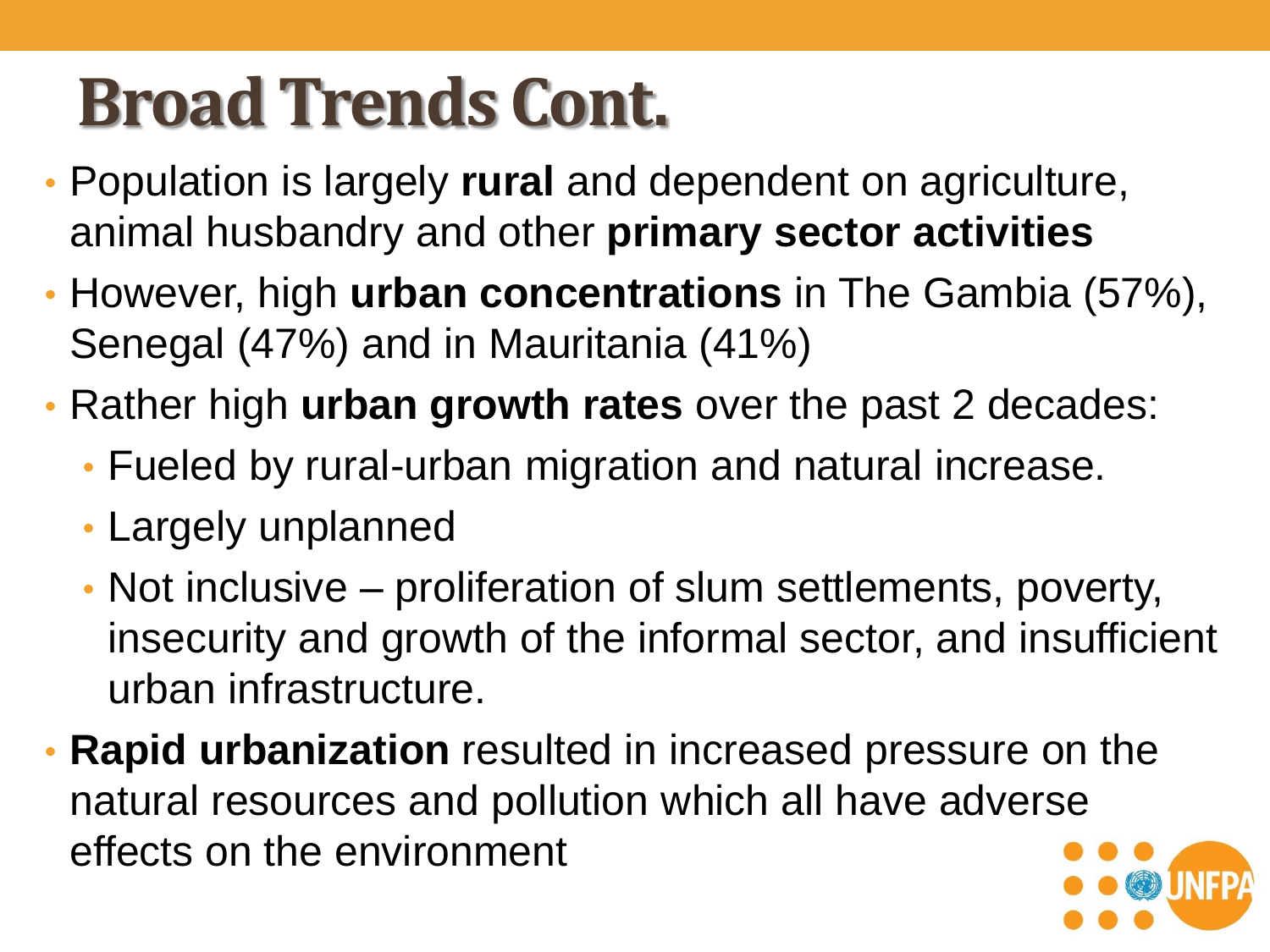# **Broad Trends Cont.**

- Population is largely **rural** and dependent on agriculture, animal husbandry and other **primary sector activities**
- However, high **urban concentrations** in The Gambia (57%), Senegal (47%) and in Mauritania (41%)
- Rather high **urban growth rates** over the past 2 decades:
	- Fueled by rural-urban migration and natural increase.
	- Largely unplanned
	- Not inclusive proliferation of slum settlements, poverty, insecurity and growth of the informal sector, and insufficient urban infrastructure.
- **Rapid urbanization** resulted in increased pressure on the natural resources and pollution which all have adverse effects on the environment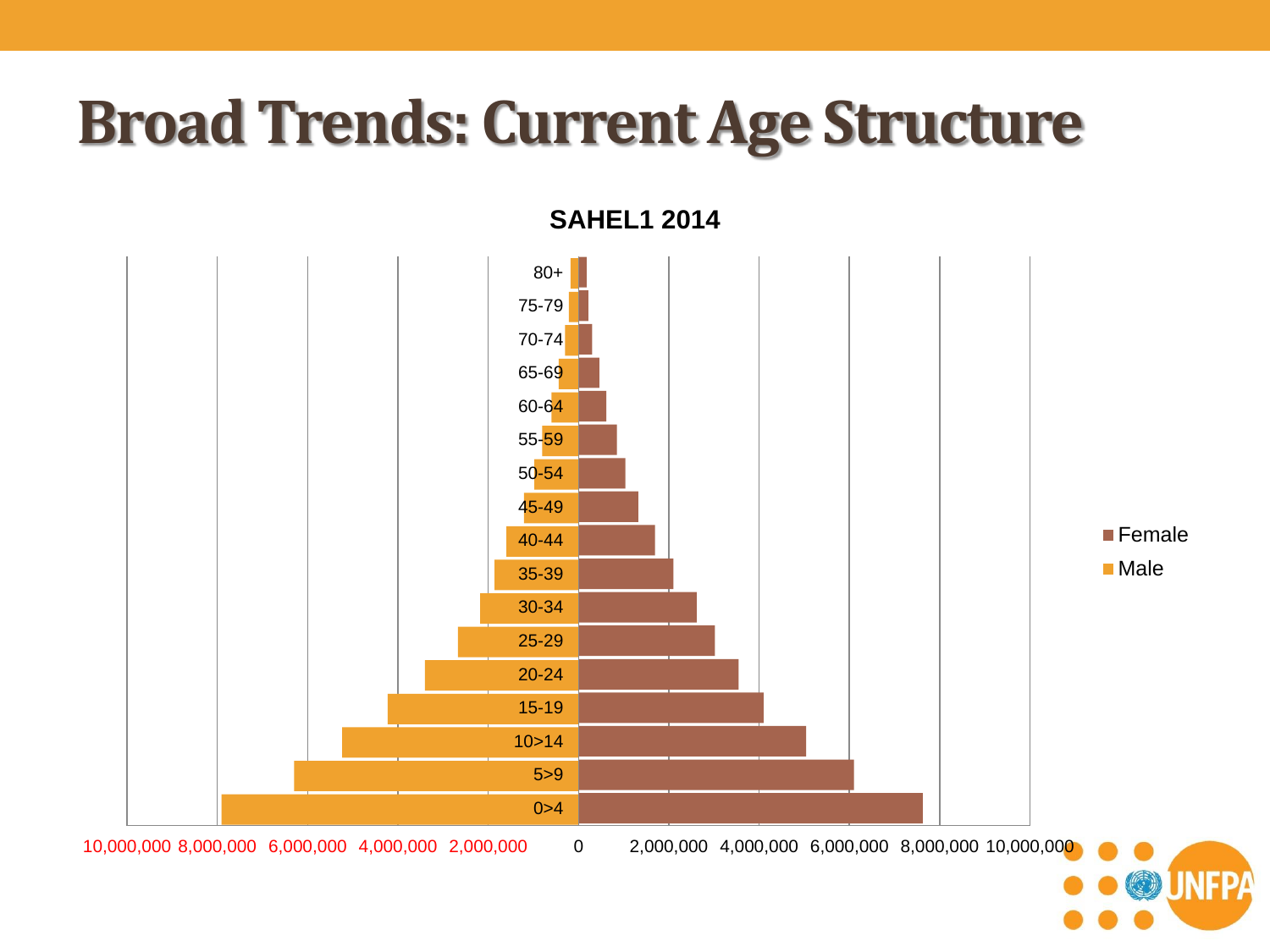#### **Broad Trends: Current Age Structure**

**SAHEL1 2014**

 $0 > 4$ 5>9 10>14 15-19 20-24 25-29 30-34 35-39 40-44 45-49 50-54 55-59 60-64 65-69 70-74 75-79 80+ **F**emale Male

10,000,000 8,000,000 6,000,000 4,000,000 2,000,000 0 2,000,000 4,000,000 6,000,000 8,000,000 10,000,000

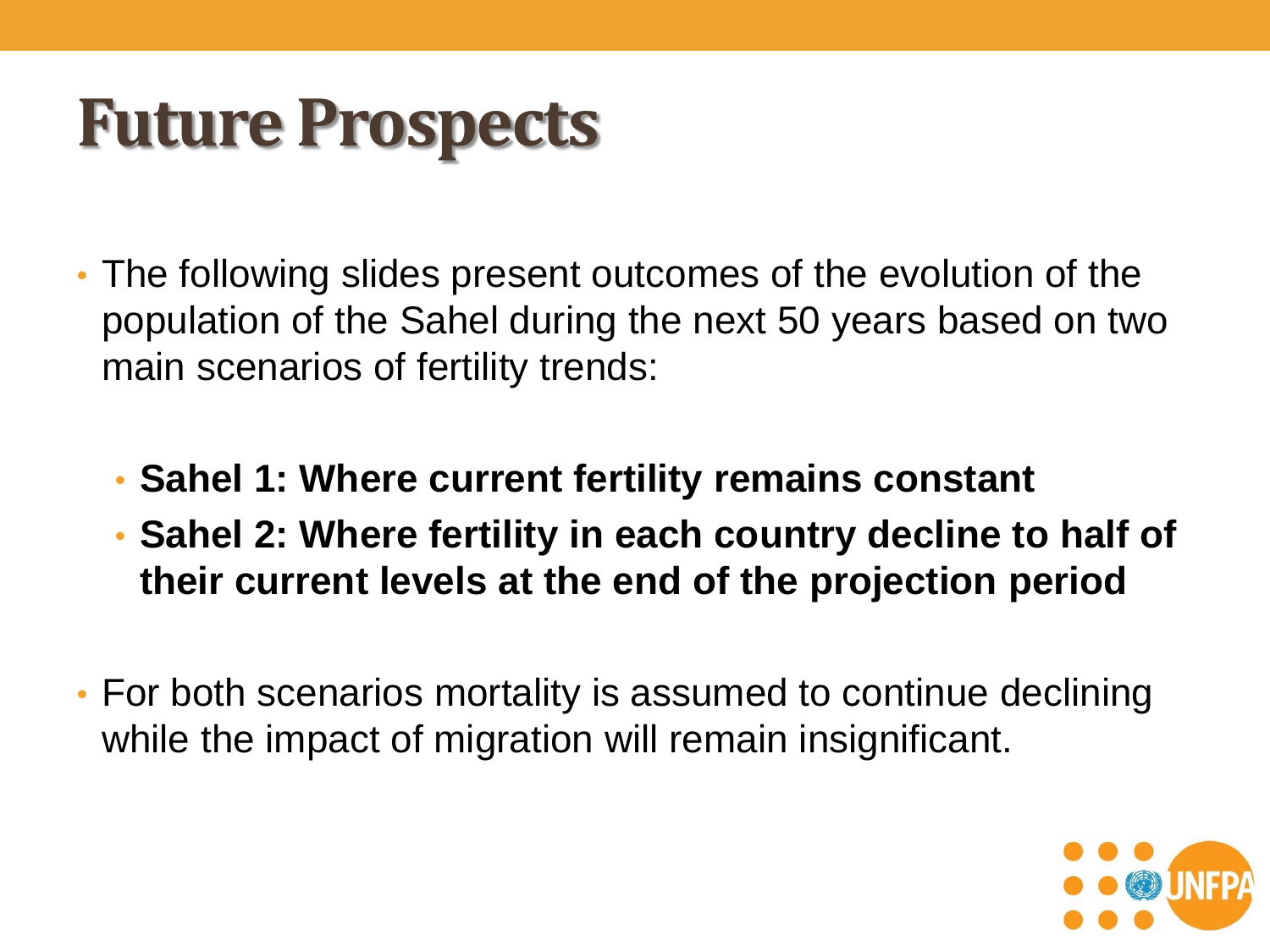#### **Future Prospects**

- The following slides present outcomes of the evolution of the population of the Sahel during the next 50 years based on two main scenarios of fertility trends:
	- **Sahel 1: Where current fertility remains constant**
	- **Sahel 2: Where fertility in each country decline to half of their current levels at the end of the projection period**
- For both scenarios mortality is assumed to continue declining while the impact of migration will remain insignificant.

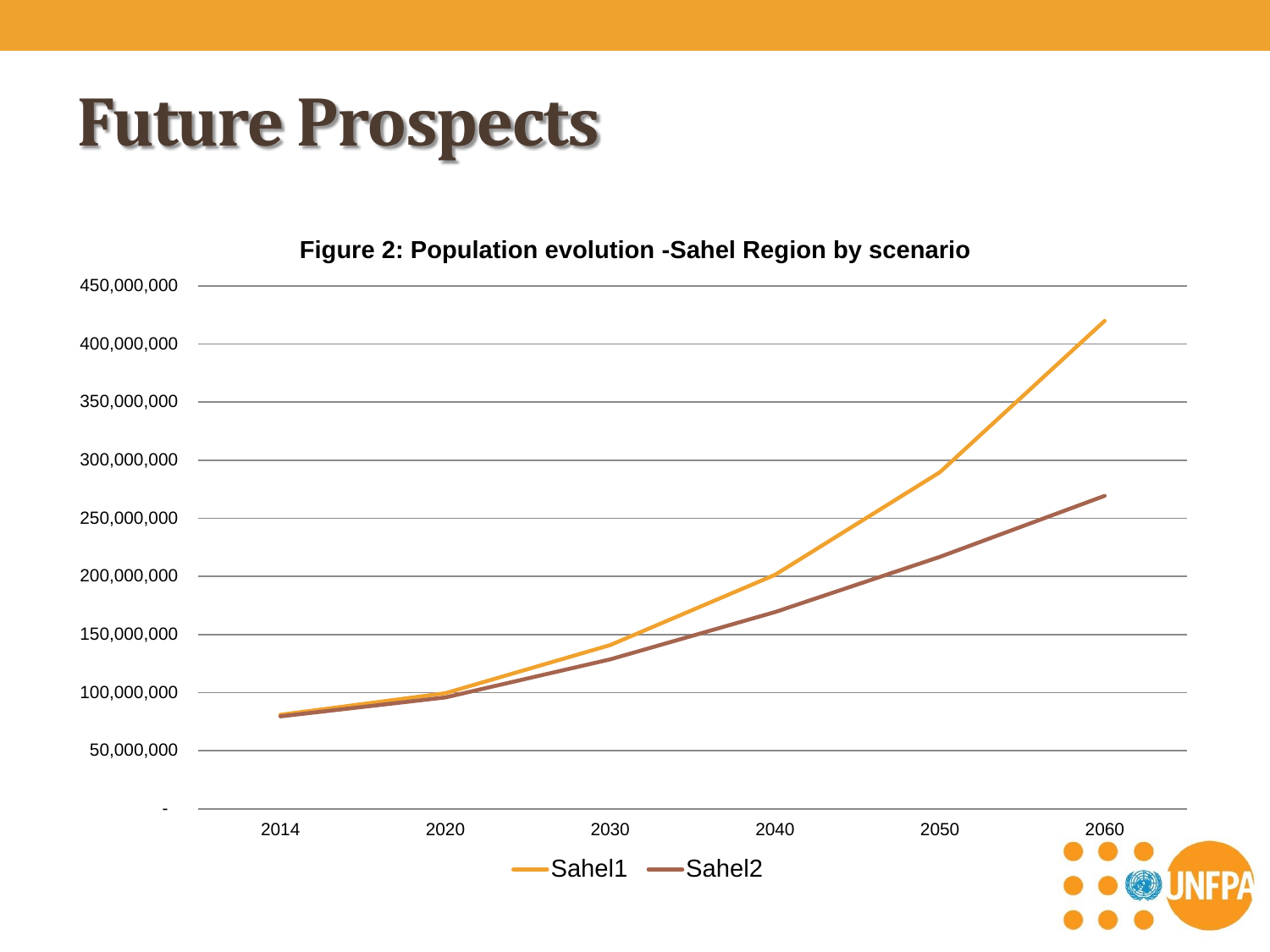#### **Future Prospects**

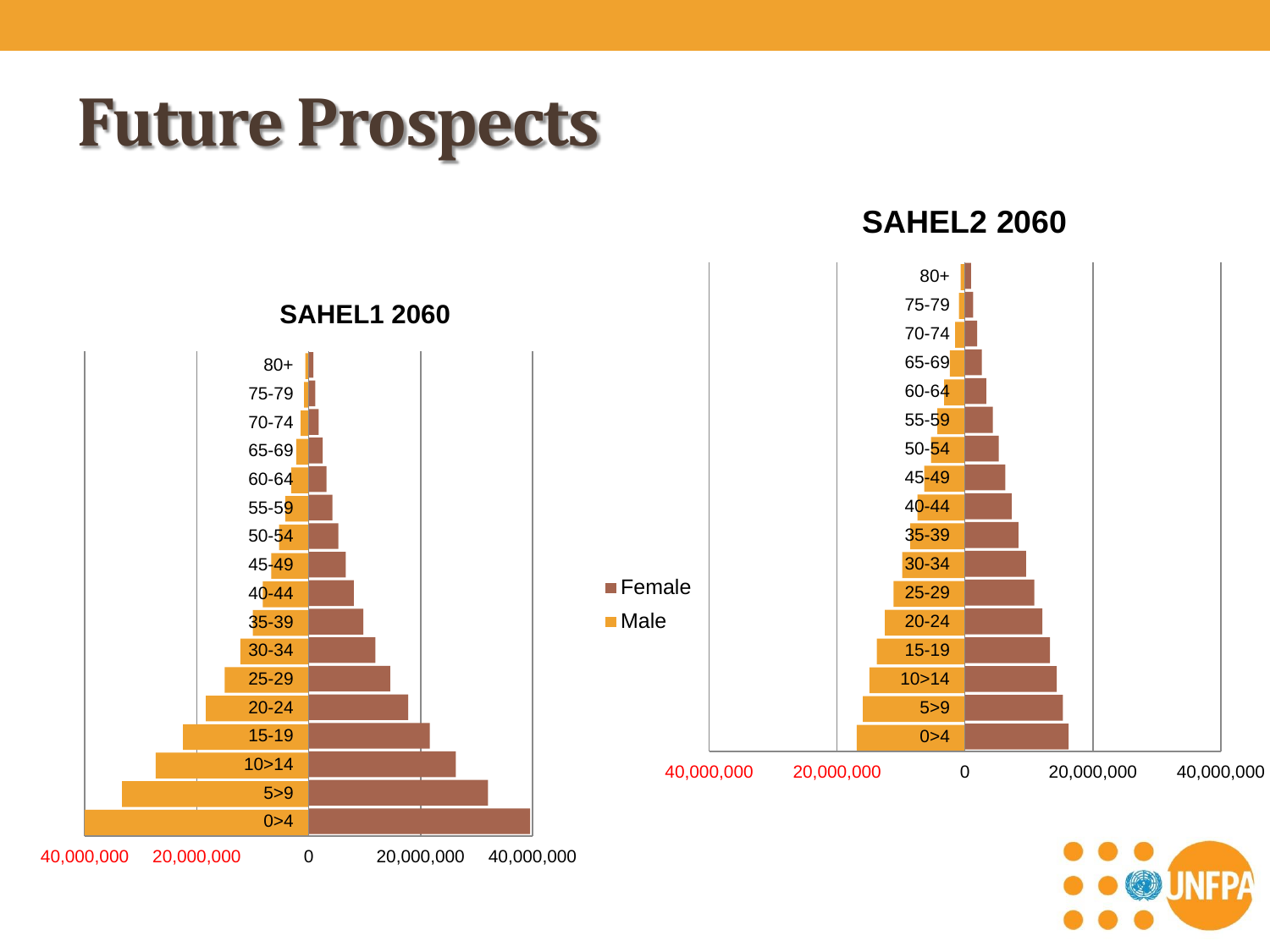#### **Future Prospects**

40,000,000 20,000,000 0 20,000,000 40,000,000

**SAHEL2 2060**



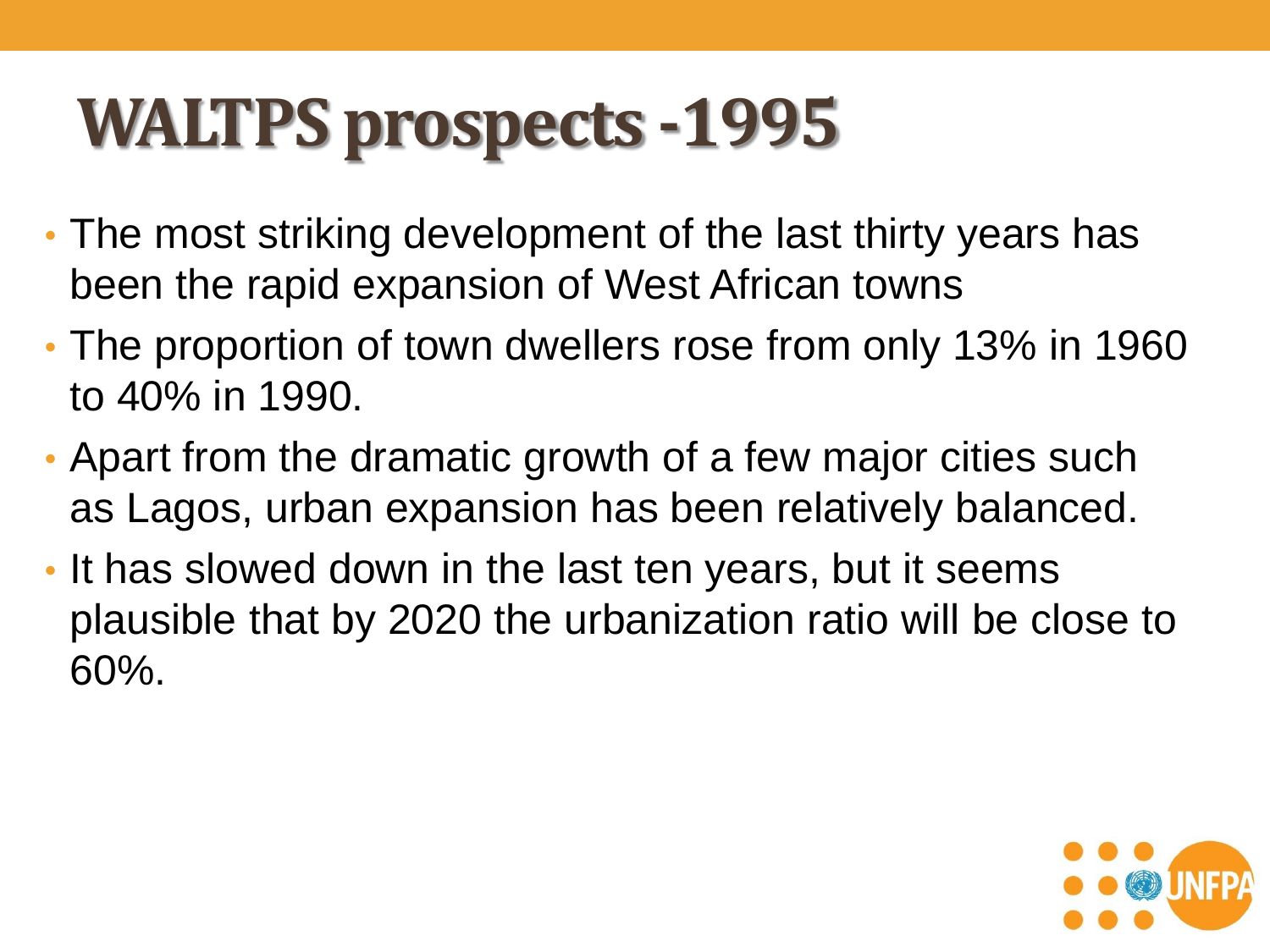## **WALTPS prospects -1995**

- The most striking development of the last thirty years has been the rapid expansion of West African towns
- The proportion of town dwellers rose from only 13% in 1960 to 40% in 1990.
- Apart from the dramatic growth of a few major cities such as Lagos, urban expansion has been relatively balanced.
- It has slowed down in the last ten years, but it seems plausible that by 2020 the urbanization ratio will be close to 60%.

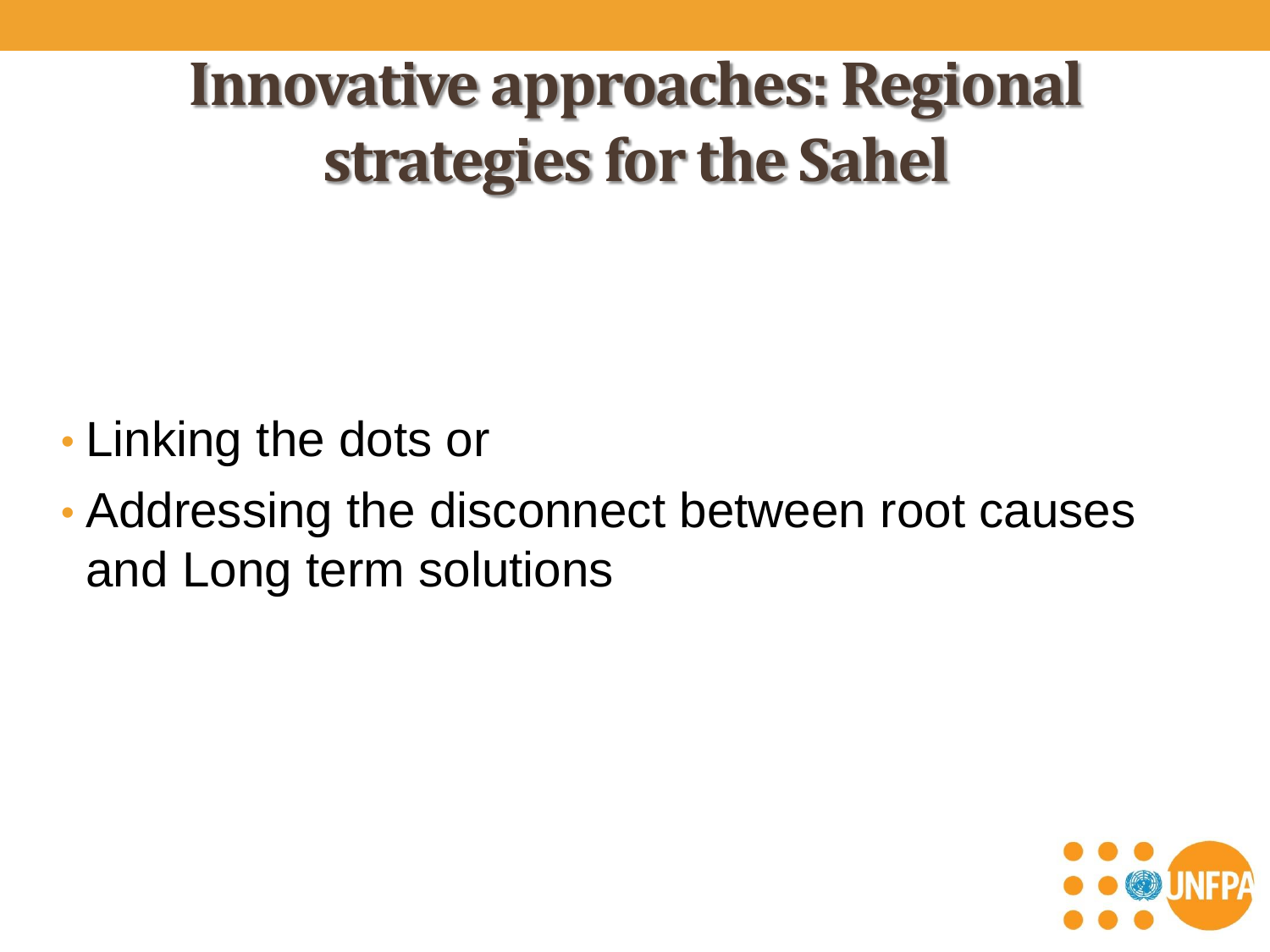**Innovative approaches: Regional strategies for the Sahel**

- Linking the dots or
- Addressing the disconnect between root causes and Long term solutions

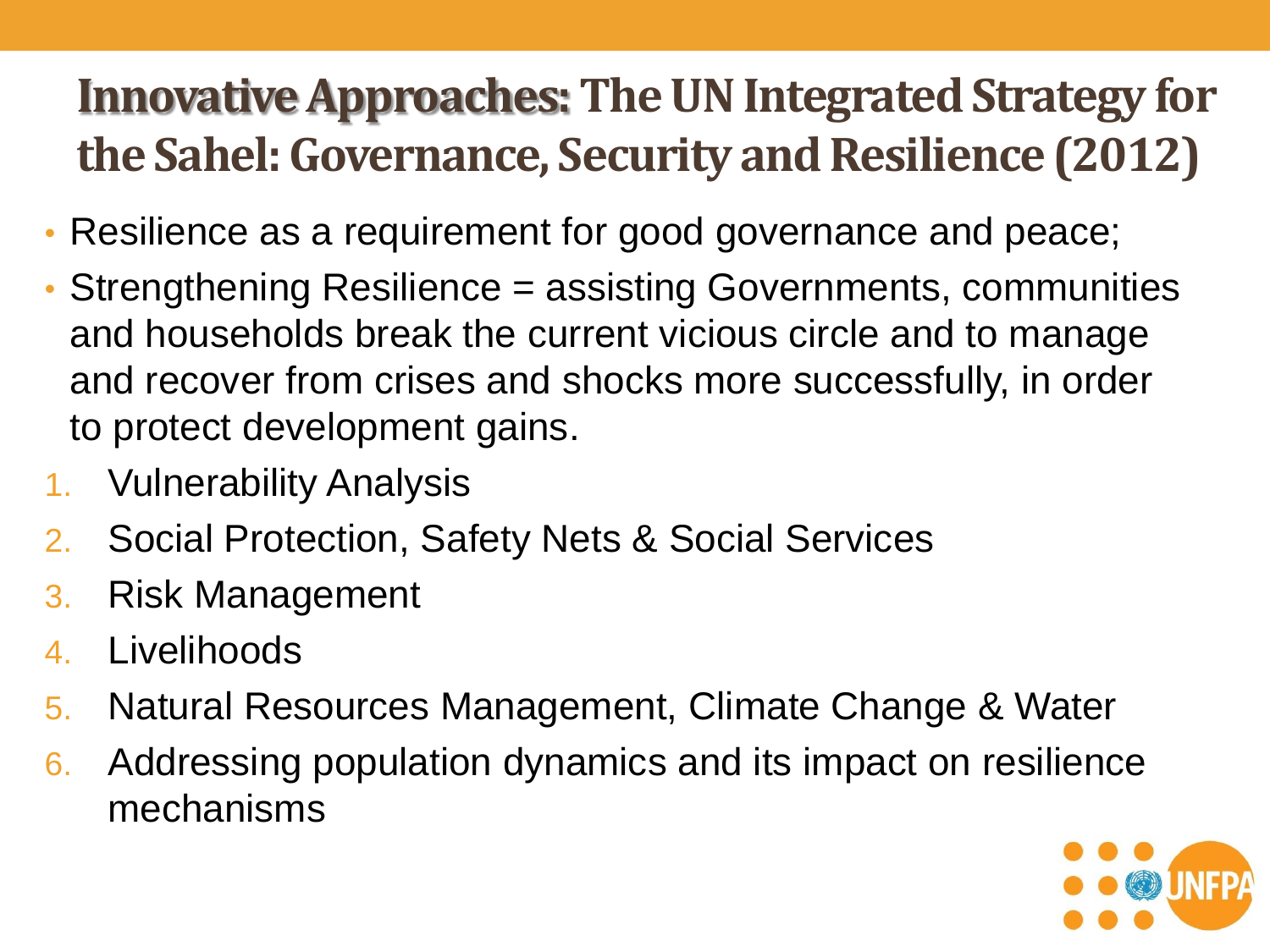#### **Innovative Approaches: The UN Integrated Strategy for the Sahel: Governance, Security and Resilience (2012)**

- Resilience as a requirement for good governance and peace;
- Strengthening Resilience = assisting Governments, communities and households break the current vicious circle and to manage and recover from crises and shocks more successfully, in order to protect development gains.
- 1. Vulnerability Analysis
- 2. Social Protection, Safety Nets & Social Services
- 3. Risk Management
- 4. Livelihoods
- 5. Natural Resources Management, Climate Change & Water
- 6. Addressing population dynamics and its impact on resilience mechanisms

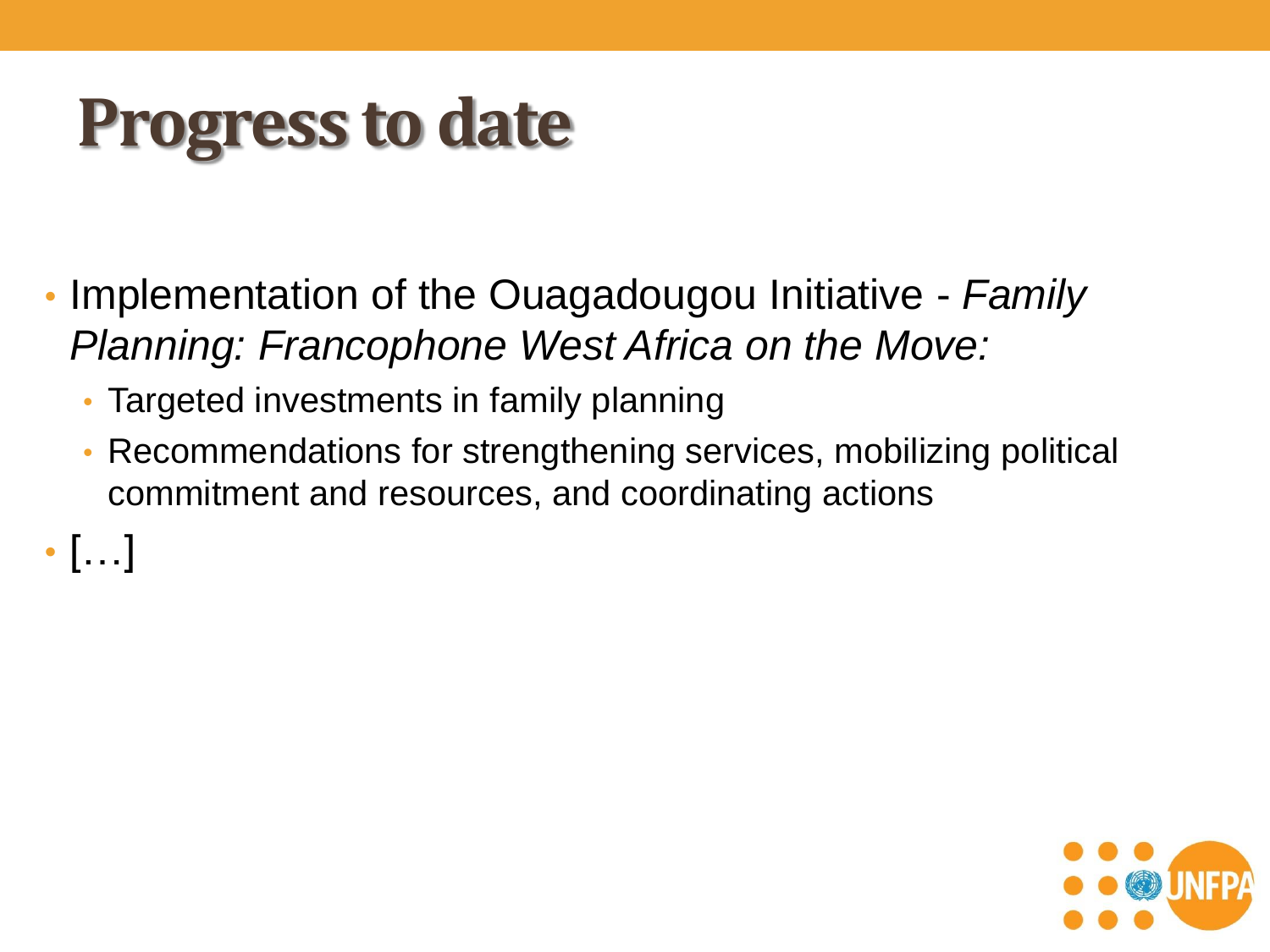#### **Progress to date**

- Implementation of the Ouagadougou Initiative *Family Planning: Francophone West Africa on the Move:*
	- Targeted investments in family planning
	- Recommendations for strengthening services, mobilizing political commitment and resources, and coordinating actions

 $\cdot$  [...]

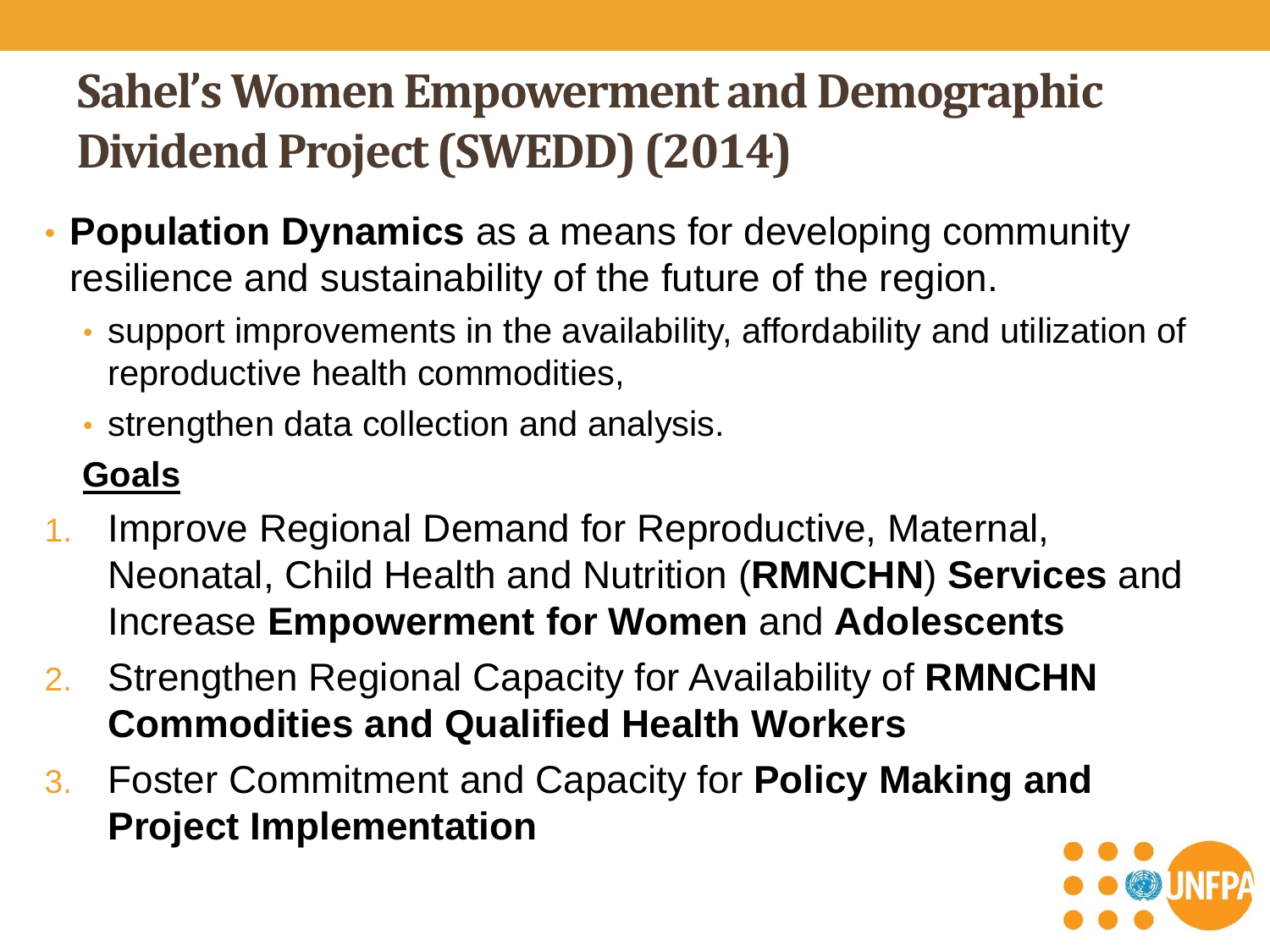#### **Sahel's Women Empowerment and Demographic Dividend Project (SWEDD) (2014)**

- **Population Dynamics** as a means for developing community resilience and sustainability of the future of the region.
	- support improvements in the availability, affordability and utilization of reproductive health commodities,
	- strengthen data collection and analysis.

#### **Goals**

- 1. Improve Regional Demand for Reproductive, Maternal, Neonatal, Child Health and Nutrition (**RMNCHN**) **Services** and Increase **Empowerment for Women** and **Adolescents**
- 2. Strengthen Regional Capacity for Availability of **RMNCHN Commodities and Qualified Health Workers**
- 3. Foster Commitment and Capacity for **Policy Making and Project Implementation**

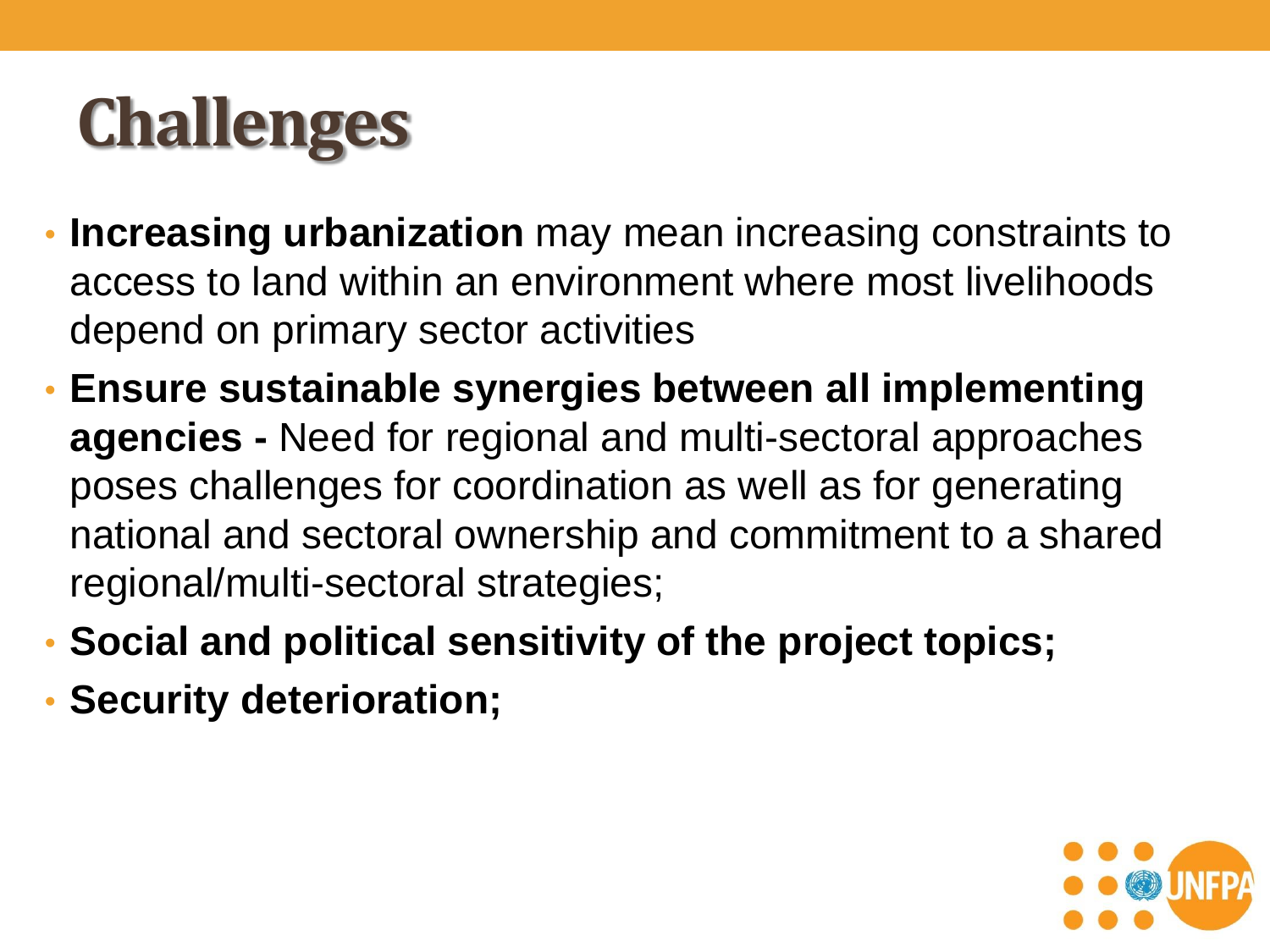# **Challenges**

- **Increasing urbanization** may mean increasing constraints to access to land within an environment where most livelihoods depend on primary sector activities
- **Ensure sustainable synergies between all implementing agencies -** Need for regional and multi-sectoral approaches poses challenges for coordination as well as for generating national and sectoral ownership and commitment to a shared regional/multi-sectoral strategies;
- **Social and political sensitivity of the project topics;**
- **Security deterioration;**